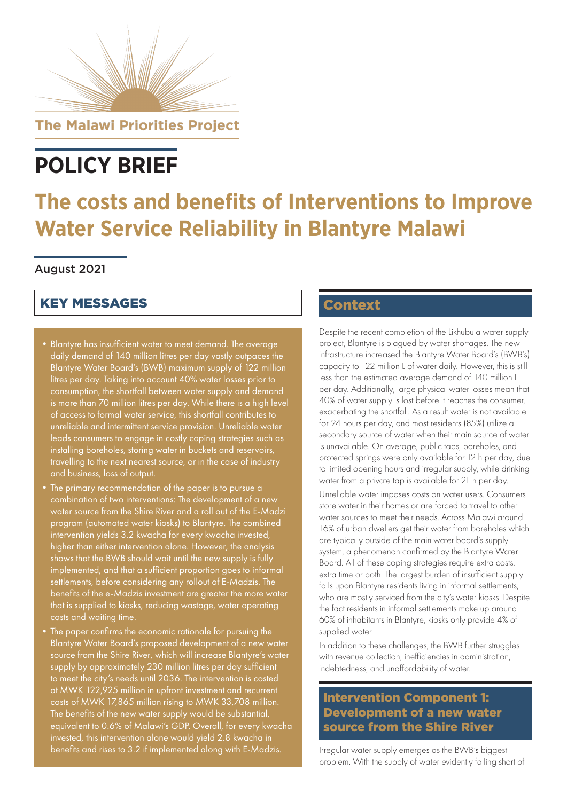

**The Malawi Priorities Project** 

# **POLICY BRIEF**

## **The costs and benefits of Interventions to Improve Water Service Reliability in Blantyre Malawi**

#### August 2021

### KEY MESSAGES

- •Blantyre has insufficient water to meet demand. The average daily demand of 140 million litres per day vastly outpaces the Blantyre Water Board's (BWB) maximum supply of 122 million litres per day. Taking into account 40% water losses prior to consumption, the shortfall between water supply and demand is more than 70 million litres per day. While there is a high level of access to formal water service, this shortfall contributes to unreliable and intermittent service provision. Unreliable water leads consumers to engage in costly coping strategies such as installing boreholes, storing water in buckets and reservoirs, travelling to the next nearest source, or in the case of industry and business, loss of output.
- •The primary recommendation of the paper is to pursue a combination of two interventions: The development of a new water source from the Shire River and a roll out of the E-Madzi program (automated water kiosks) to Blantyre. The combined intervention yields 3.2 kwacha for every kwacha invested, higher than either intervention alone. However, the analysis shows that the BWB should wait until the new supply is fully implemented, and that a sufficient proportion goes to informal settlements, before considering any rollout of E-Madzis. The benefits of the e-Madzis investment are greater the more water that is supplied to kiosks, reducing wastage, water operating costs and waiting time.
- •The paper confirms the economic rationale for pursuing the Blantyre Water Board's proposed development of a new water source from the Shire River, which will increase Blantyre's water supply by approximately 230 million litres per day sufficient to meet the city's needs until 2036. The intervention is costed at MWK 122,925 million in upfront investment and recurrent costs of MWK 17,865 million rising to MWK 33,708 million. The benefits of the new water supply would be substantial, equivalent to 0.6% of Malawi's GDP. Overall, for every kwacha invested, this intervention alone would yield 2.8 kwacha in benefits and rises to 3.2 if implemented along with E-Madzis.

### **Context**

Despite the recent completion of the Likhubula water supply project, Blantyre is plagued by water shortages. The new infrastructure increased the Blantyre Water Board's (BWB's) capacity to 122 million L of water daily. However, this is still less than the estimated average demand of 140 million L per day. Additionally, large physical water losses mean that 40% of water supply is lost before it reaches the consumer, exacerbating the shortfall. As a result water is not available for 24 hours per day, and most residents (85%) utilize a secondary source of water when their main source of water is unavailable. On average, public taps, boreholes, and protected springs were only available for 12 h per day, due to limited opening hours and irregular supply, while drinking water from a private tap is available for 21 h per day.

Unreliable water imposes costs on water users. Consumers store water in their homes or are forced to travel to other water sources to meet their needs. Across Malawi around 16% of urban dwellers get their water from boreholes which are typically outside of the main water board's supply system, a phenomenon confirmed by the Blantyre Water Board. All of these coping strategies require extra costs, extra time or both. The largest burden of insufficient supply falls upon Blantyre residents living in informal settlements, who are mostly serviced from the city's water kiosks. Despite the fact residents in informal settlements make up around 60% of inhabitants in Blantyre, kiosks only provide 4% of supplied water.

In addition to these challenges, the BWB further struggles with revenue collection, inefficiencies in administration, indebtedness, and unaffordability of water.

#### Intervention Component 1: Development of a new water source from the Shire River

Irregular water supply emerges as the BWB's biggest problem. With the supply of water evidently falling short of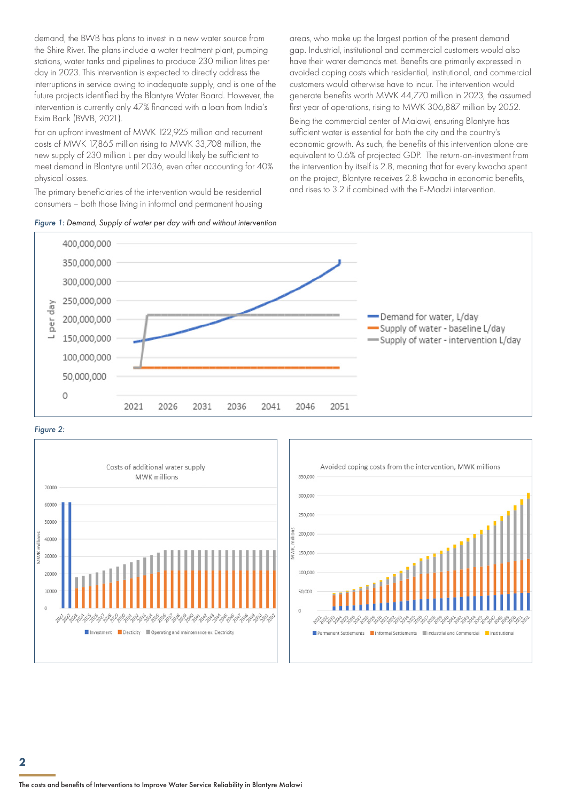demand, the BWB has plans to invest in a new water source from the Shire River. The plans include a water treatment plant, pumping stations, water tanks and pipelines to produce 230 million litres per day in 2023. This intervention is expected to directly address the interruptions in service owing to inadequate supply, and is one of the future projects identified by the Blantyre Water Board. However, the intervention is currently only 47% financed with a loan from India's Exim Bank (BWB, 2021).

For an upfront investment of MWK 122,925 million and recurrent costs of MWK 17,865 million rising to MWK 33,708 million, the new supply of 230 million L per day would likely be sufficient to meet demand in Blantyre until 2036, even after accounting for 40% physical losses.

The primary beneficiaries of the intervention would be residential consumers – both those living in informal and permanent housing



areas, who make up the largest portion of the present demand gap. Industrial, institutional and commercial customers would also have their water demands met. Benefits are primarily expressed in avoided coping costs which residential, institutional, and commercial customers would otherwise have to incur. The intervention would generate benefits worth MWK 44,770 million in 2023, the assumed first year of operations, rising to MWK 306,887 million by 2052.

Being the commercial center of Malawi, ensuring Blantyre has sufficient water is essential for both the city and the country's economic growth. As such, the benefits of this intervention alone are equivalent to 0.6% of projected GDP. The return-on-investment from the intervention by itself is 2.8, meaning that for every kwacha spent on the project, Blantyre receives 2.8 kwacha in economic benefits, and rises to 3.2 if combined with the E-Madzi intervention.



#### *Figure 2:*



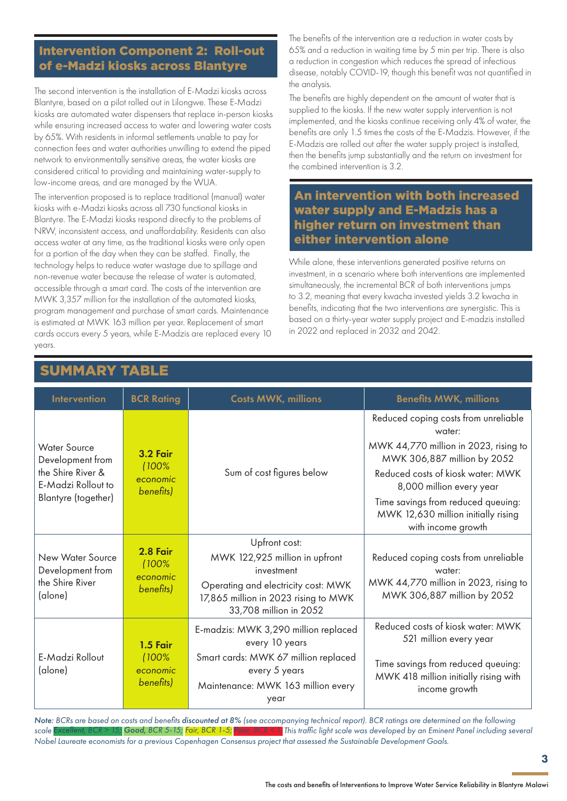#### Intervention Component 2: Roll-out of e-Madzi kiosks across Blantyre

The second intervention is the installation of E-Madzi kiosks across Blantyre, based on a pilot rolled out in Lilongwe. These E-Madzi kiosks are automated water dispensers that replace in-person kiosks while ensuring increased access to water and lowering water costs by 65%. With residents in informal settlements unable to pay for connection fees and water authorities unwilling to extend the piped network to environmentally sensitive areas, the water kiosks are considered critical to providing and maintaining water-supply to low-income areas, and are managed by the WUA.

The intervention proposed is to replace traditional (manual) water kiosks with e-Madzi kiosks across all 730 functional kiosks in Blantyre. The E-Madzi kiosks respond directly to the problems of NRW, inconsistent access, and unaffordability. Residents can also access water at any time, as the traditional kiosks were only open for a portion of the day when they can be staffed. Finally, the technology helps to reduce water wastage due to spillage and non-revenue water because the release of water is automated, accessible through a smart card. The costs of the intervention are MWK 3,357 million for the installation of the automated kiosks, program management and purchase of smart cards. Maintenance is estimated at MWK 163 million per year. Replacement of smart cards occurs every 5 years, while E-Madzis are replaced every 10 years.

The benefits of the intervention are a reduction in water costs by 65% and a reduction in waiting time by 5 min per trip. There is also a reduction in congestion which reduces the spread of infectious disease, notably COVID-19, though this benefit was not quantified in the analysis.

The benefits are highly dependent on the amount of water that is supplied to the kiosks. If the new water supply intervention is not implemented, and the kiosks continue receiving only 4% of water, the benefits are only 1.5 times the costs of the E-Madzis. However, if the E-Madzis are rolled out after the water supply project is installed, then the benefits jump substantially and the return on investment for the combined intervention is 3.2.

#### An intervention with both increased water supply and E-Madzis has a higher return on investment than either intervention alone

While alone, these interventions generated positive returns on investment, in a scenario where both interventions are implemented simultaneously, the incremental BCR of both interventions jumps to 3.2, meaning that every kwacha invested yields 3.2 kwacha in benefits, indicating that the two interventions are synergistic. This is based on a thirty-year water supply project and E-madzis installed in 2022 and replaced in 2032 and 2042.

| <b>Intervention</b>                                                                                       | <b>BCR Rating</b>                                 | <b>Costs MWK, millions</b>                                                                                                                                             | <b>Benefits MWK, millions</b>                                                                                                                                                                                                                                                              |
|-----------------------------------------------------------------------------------------------------------|---------------------------------------------------|------------------------------------------------------------------------------------------------------------------------------------------------------------------------|--------------------------------------------------------------------------------------------------------------------------------------------------------------------------------------------------------------------------------------------------------------------------------------------|
| <b>Water Source</b><br>Development from<br>the Shire River &<br>E-Madzi Rollout to<br>Blantyre (together) | <b>3.2 Fair</b><br>(100%<br>economic<br>benefits) | Sum of cost figures below                                                                                                                                              | Reduced coping costs from unreliable<br>water:<br>MWK 44,770 million in 2023, rising to<br>MWK 306,887 million by 2052<br>Reduced costs of kiosk water: MWK<br>8,000 million every year<br>Time savings from reduced queuing:<br>MWK 12,630 million initially rising<br>with income growth |
| New Water Source<br>Development from<br>the Shire River<br>(alone)                                        | 2.8 Fair<br>(100%<br>economic<br>benefits)        | Upfront cost:<br>MWK 122,925 million in upfront<br>investment<br>Operating and electricity cost: MWK<br>17,865 million in 2023 rising to MWK<br>33,708 million in 2052 | Reduced coping costs from unreliable<br>water:<br>MWK 44,770 million in 2023, rising to<br>MWK 306,887 million by 2052                                                                                                                                                                     |
| E-Madzi Rollout<br>(alone)                                                                                | 1.5 Fair<br>(100%<br>economic<br>benefits)        | E-madzis: MWK 3,290 million replaced<br>every 10 years<br>Smart cards: MWK 67 million replaced<br>every 5 years<br>Maintenance: MWK 163 million every<br>year          | Reduced costs of kiosk water: MWK<br>521 million every year<br>Time savings from reduced queuing:<br>MWK 418 million initially rising with<br>income growth                                                                                                                                |

UMMARY

*Note: BCRs are based on costs and benefits discounted at 8% (see accompanying technical report). BCR ratings are determined on the following*  scale Excellent, BCR > 15; Good, BCR 5-15; <mark>Fair, BCR 1-5;</mark> Poor, BCR < 1. This traffic light scale was developed by an Eminent Panel including several *Nobel Laureate economists for a previous Copenhagen Consensus project that assessed the Sustainable Development Goals.*